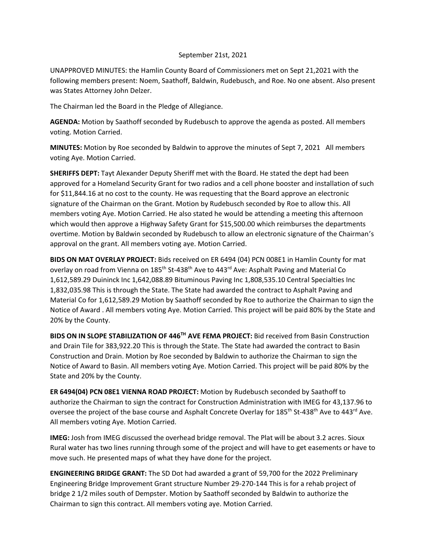## September 21st, 2021

UNAPPROVED MINUTES: the Hamlin County Board of Commissioners met on Sept 21,2021 with the following members present: Noem, Saathoff, Baldwin, Rudebusch, and Roe. No one absent. Also present was States Attorney John Delzer.

The Chairman led the Board in the Pledge of Allegiance.

**AGENDA:** Motion by Saathoff seconded by Rudebusch to approve the agenda as posted. All members voting. Motion Carried.

**MINUTES:** Motion by Roe seconded by Baldwin to approve the minutes of Sept 7, 2021 All members voting Aye. Motion Carried.

**SHERIFFS DEPT:** Tayt Alexander Deputy Sheriff met with the Board. He stated the dept had been approved for a Homeland Security Grant for two radios and a cell phone booster and installation of such for \$11,844.16 at no cost to the county. He was requesting that the Board approve an electronic signature of the Chairman on the Grant. Motion by Rudebusch seconded by Roe to allow this. All members voting Aye. Motion Carried. He also stated he would be attending a meeting this afternoon which would then approve a Highway Safety Grant for \$15,500.00 which reimburses the departments overtime. Motion by Baldwin seconded by Rudebusch to allow an electronic signature of the Chairman's approval on the grant. All members voting aye. Motion Carried.

**BIDS ON MAT OVERLAY PROJECT:** Bids received on ER 6494 (04) PCN 008E1 in Hamlin County for mat overlay on road from Vienna on 185<sup>th</sup> St-438<sup>th</sup> Ave to 443<sup>rd</sup> Ave: Asphalt Paving and Material Co 1,612,589.29 Duininck Inc 1,642,088.89 Bituminous Paving Inc 1,808,535.10 Central Specialties Inc 1,832,035.98 This is through the State. The State had awarded the contract to Asphalt Paving and Material Co for 1,612,589.29 Motion by Saathoff seconded by Roe to authorize the Chairman to sign the Notice of Award . All members voting Aye. Motion Carried. This project will be paid 80% by the State and 20% by the County.

**BIDS ON IN SLOPE STABILIZATION OF 446TH AVE FEMA PROJECT:** Bid received from Basin Construction and Drain Tile for 383,922.20 This is through the State. The State had awarded the contract to Basin Construction and Drain. Motion by Roe seconded by Baldwin to authorize the Chairman to sign the Notice of Award to Basin. All members voting Aye. Motion Carried. This project will be paid 80% by the State and 20% by the County.

**ER 6494(04) PCN 08E1 VIENNA ROAD PROJECT:** Motion by Rudebusch seconded by Saathoff to authorize the Chairman to sign the contract for Construction Administration with IMEG for 43,137.96 to oversee the project of the base course and Asphalt Concrete Overlay for 185<sup>th</sup> St-438<sup>th</sup> Ave to 443<sup>rd</sup> Ave. All members voting Aye. Motion Carried.

**IMEG:** Josh from IMEG discussed the overhead bridge removal. The Plat will be about 3.2 acres. Sioux Rural water has two lines running through some of the project and will have to get easements or have to move such. He presented maps of what they have done for the project.

**ENGINEERING BRIDGE GRANT:** The SD Dot had awarded a grant of 59,700 for the 2022 Preliminary Engineering Bridge Improvement Grant structure Number 29-270-144 This is for a rehab project of bridge 2 1/2 miles south of Dempster. Motion by Saathoff seconded by Baldwin to authorize the Chairman to sign this contract. All members voting aye. Motion Carried.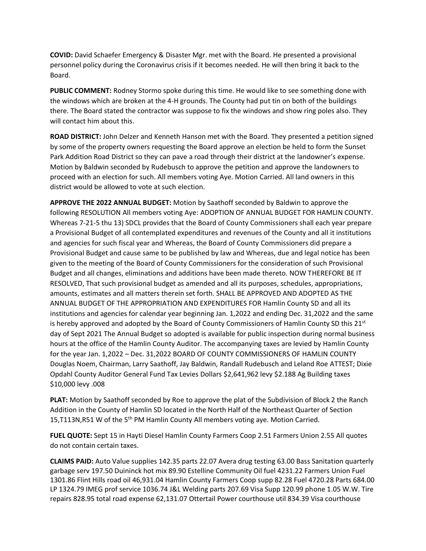**COVID:** David Schaefer Emergency & Disaster Mgr. met with the Board. He presented a provisional personnel policy during the Coronavirus crisis if it becomes needed. He will then bring it back to the Board.

**PUBLIC COMMENT:** Rodney Stormo spoke during this time. He would like to see something done with the windows which are broken at the 4-H grounds. The County had put tin on both of the buildings there. The Board stated the contractor was suppose to fix the windows and show ring poles also. They will contact him about this.

**ROAD DISTRICT:** John Delzer and Kenneth Hanson met with the Board. They presented a petition signed by some of the property owners requesting the Board approve an election be held to form the Sunset Park Addition Road District so they can pave a road through their district at the landowner's expense. Motion by Baldwin seconded by Rudebusch to approve the petition and approve the landowners to proceed with an election for such. All members voting Aye. Motion Carried. All land owners in this district would be allowed to vote at such election.

**APPROVE THE 2022 ANNUAL BUDGET:** Motion by Saathoff seconded by Baldwin to approve the following RESOLUTION All members voting Aye: ADOPTION OF ANNUAL BUDGET FOR HAMLIN COUNTY. Whereas 7-21-5 thu 13) SDCL provides that the Board of County Commissioners shall each year prepare a Provisional Budget of all contemplated expenditures and revenues of the County and all it institutions and agencies for such fiscal year and Whereas, the Board of County Commissioners did prepare a Provisional Budget and cause same to be published by law and Whereas, due and legal notice has been given to the meeting of the Board of County Commissioners for the consideration of such Provisional Budget and all changes, eliminations and additions have been made thereto. NOW THEREFORE BE IT RESOLVED, That such provisional budget as amended and all its purposes, schedules, appropriations, amounts, estimates and all matters therein set forth. SHALL BE APPROVED AND ADOPTED AS THE ANNUAL BUDGET OF THE APPROPRIATION AND EXPENDITURES FOR Hamlin County SD and all its institutions and agencies for calendar year beginning Jan. 1,2022 and ending Dec. 31,2022 and the same is hereby approved and adopted by the Board of County Commissioners of Hamlin County SD this  $21<sup>st</sup>$ day of Sept 2021 The Annual Budget so adopted is available for public inspection during normal business hours at the office of the Hamlin County Auditor. The accompanying taxes are levied by Hamlin County for the year Jan. 1,2022 – Dec. 31,2022 BOARD OF COUNTY COMMISSIONERS OF HAMLIN COUNTY Douglas Noem, Chairman, Larry Saathoff, Jay Baldwin, Randall Rudebusch and Leland Roe ATTEST; Dixie Opdahl County Auditor General Fund Tax Levies Dollars \$2,641,962 levy \$2.188 Ag Building taxes \$10,000 levy .008

**PLAT:** Motion by Saathoff seconded by Roe to approve the plat of the Subdivision of Block 2 the Ranch Addition in the County of Hamlin SD located in the North Half of the Northeast Quarter of Section 15,T113N,R51 W of the 5<sup>th</sup> PM Hamlin County All members voting aye. Motion Carried.

**FUEL QUOTE:** Sept 15 in Hayti Diesel Hamlin County Farmers Coop 2.51 Farmers Union 2.55 All quotes do not contain certain taxes.

**CLAIMS PAID:** Auto Value supplies 142.35 parts 22.07 Avera drug testing 63.00 Bass Sanitation quarterly garbage serv 197.50 Duininck hot mix 89.90 Estelline Community Oil fuel 4231.22 Farmers Union Fuel 1301.86 Flint Hills road oil 46,931.04 Hamlin County Farmers Coop supp 82.28 Fuel 4720.28 Parts 684.00 LP 1324.79 IMEG prof service 1036.74 J&L Welding parts 207.69 Visa Supp 120.99 phone 1.05 W.W. Tire repairs 828.95 total road expense 62,131.07 Ottertail Power courthouse util 834.39 Visa courthouse